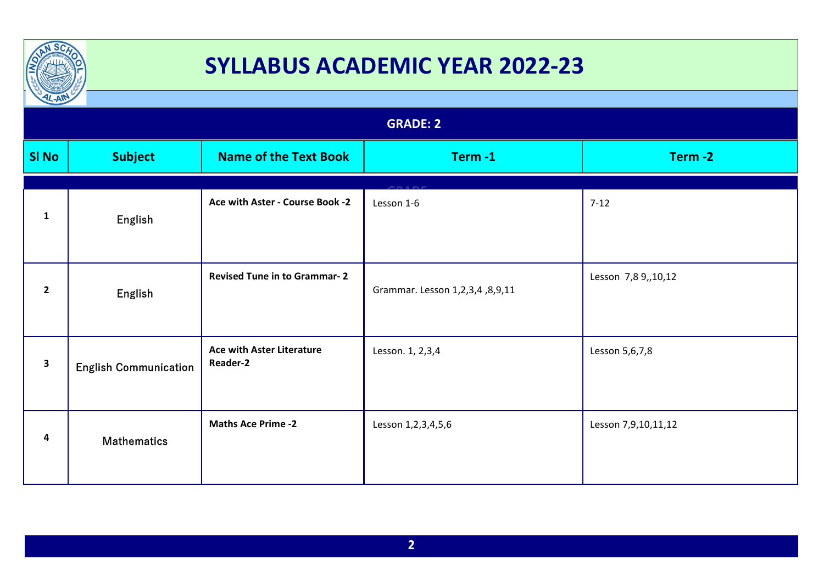

| $\frac{1}{2}$   |                              |                                              |                                |                     |
|-----------------|------------------------------|----------------------------------------------|--------------------------------|---------------------|
| <b>GRADE: 2</b> |                              |                                              |                                |                     |
| <b>SI No</b>    | <b>Subject</b>               | <b>Name of the Text Book</b>                 | Term-1                         | Term-2              |
| $\mathbf{1}$    | English                      | Ace with Aster - Course Book -2              | Lesson 1-6                     | $7-12$              |
| $\overline{2}$  | English                      | <b>Revised Tune in to Grammar-2</b>          | Grammar. Lesson 1,2,3,4,8,9,11 | Lesson 7,8 9,,10,12 |
| $\mathbf{3}$    | <b>English Communication</b> | <b>Ace with Aster Literature</b><br>Reader-2 | Lesson. 1, 2,3,4               | Lesson 5,6,7,8      |
| 4               | <b>Mathematics</b>           | <b>Maths Ace Prime -2</b>                    | Lesson 1,2,3,4,5,6             | Lesson 7,9,10,11,12 |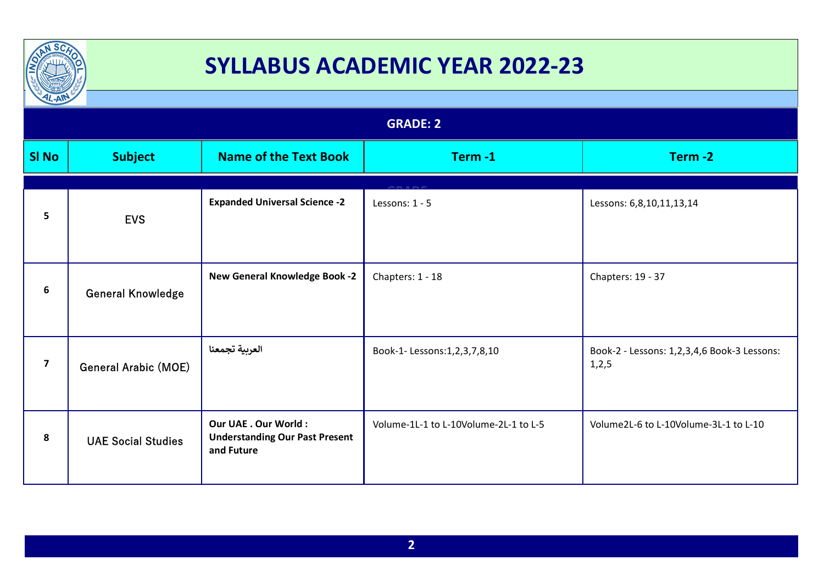

| $L-AW$                  |                             |                                                                                    | <b>GRADE: 2</b>                       |                                                        |  |
|-------------------------|-----------------------------|------------------------------------------------------------------------------------|---------------------------------------|--------------------------------------------------------|--|
|                         |                             |                                                                                    |                                       |                                                        |  |
| <b>SI No</b>            | <b>Subject</b>              | <b>Name of the Text Book</b>                                                       | Term-1                                | Term-2                                                 |  |
|                         |                             |                                                                                    |                                       |                                                        |  |
| 5                       | <b>EVS</b>                  | <b>Expanded Universal Science -2</b>                                               | Lessons: 1 - 5                        | Lessons: 6,8,10,11,13,14                               |  |
| 6                       | <b>General Knowledge</b>    | <b>New General Knowledge Book -2</b>                                               | Chapters: 1 - 18                      | Chapters: 19 - 37                                      |  |
| $\overline{\mathbf{z}}$ | <b>General Arabic (MOE)</b> | العربية تجمعنا                                                                     | Book-1- Lessons:1,2,3,7,8,10          | Book-2 - Lessons: 1,2,3,4,6 Book-3 Lessons:<br>1, 2, 5 |  |
| 8                       | <b>UAE Social Studies</b>   | <b>Our UAE . Our World:</b><br><b>Understanding Our Past Present</b><br>and Future | Volume-1L-1 to L-10Volume-2L-1 to L-5 | Volume2L-6 to L-10Volume-3L-1 to L-10                  |  |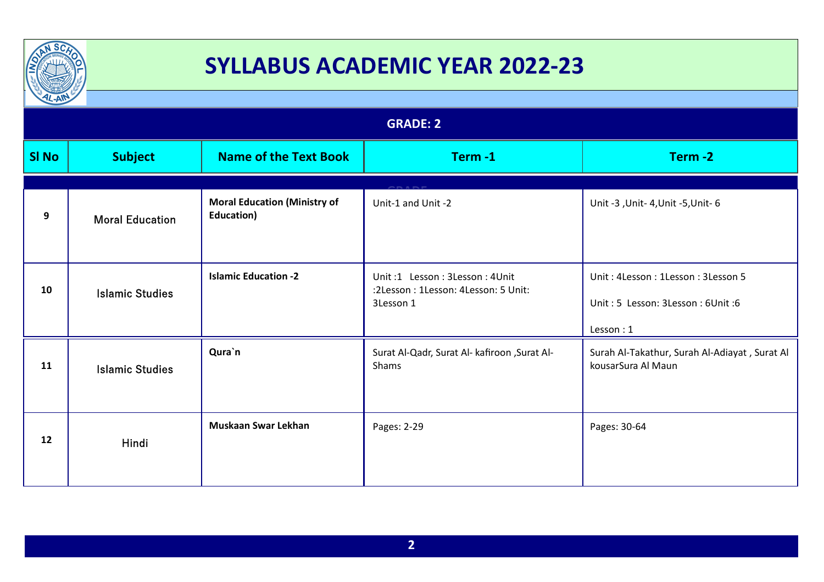

| $\frac{1}{2}$   |                        |                                                   |                                                                                   |                                                                                     |
|-----------------|------------------------|---------------------------------------------------|-----------------------------------------------------------------------------------|-------------------------------------------------------------------------------------|
| <b>GRADE: 2</b> |                        |                                                   |                                                                                   |                                                                                     |
| <b>SI No</b>    | <b>Subject</b>         | <b>Name of the Text Book</b>                      | Term-1                                                                            | Term-2                                                                              |
| 9               | <b>Moral Education</b> | <b>Moral Education (Ministry of</b><br>Education) | Unit-1 and Unit -2                                                                | Unit -3 , Unit - 4, Unit - 5, Unit - 6                                              |
| 10              | <b>Islamic Studies</b> | <b>Islamic Education -2</b>                       | Unit:1 Lesson: 3Lesson: 4Unit<br>:2Lesson: 1Lesson: 4Lesson: 5 Unit:<br>3Lesson 1 | Unit: 4Lesson: 1Lesson: 3Lesson 5<br>Unit: 5 Lesson: 3Lesson: 6Unit: 6<br>Lesson: 1 |
| 11              | <b>Islamic Studies</b> | Qura`n                                            | Surat Al-Qadr, Surat Al- kafiroon , Surat Al-<br>Shams                            | Surah Al-Takathur, Surah Al-Adiayat, Surat Al<br>kousarSura Al Maun                 |
| 12              | Hindi                  | <b>Muskaan Swar Lekhan</b>                        | Pages: 2-29                                                                       | Pages: 30-64                                                                        |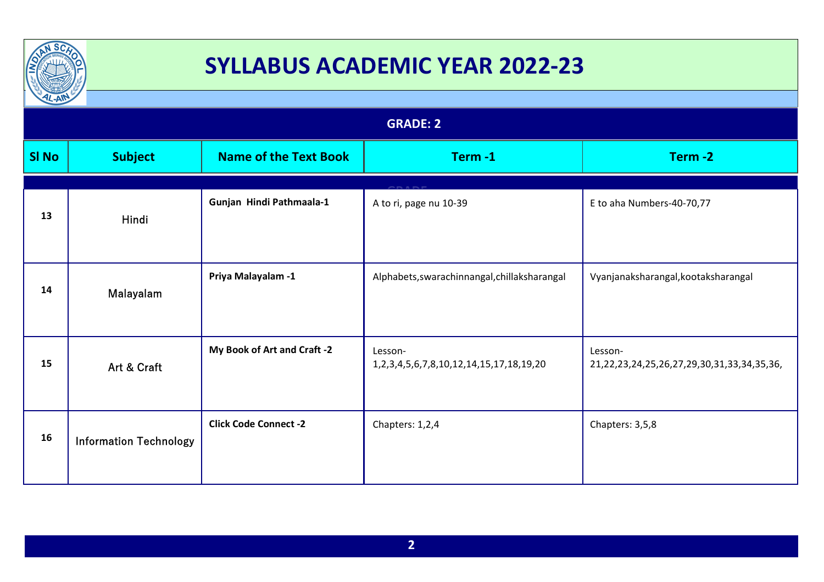

| $12 - A$        |                               |                              |                                                                   |                                                       |
|-----------------|-------------------------------|------------------------------|-------------------------------------------------------------------|-------------------------------------------------------|
| <b>GRADE: 2</b> |                               |                              |                                                                   |                                                       |
| <b>SI No</b>    | <b>Subject</b>                | <b>Name of the Text Book</b> | Term-1                                                            | Term-2                                                |
|                 |                               |                              |                                                                   |                                                       |
| 13              | Hindi                         | Gunjan Hindi Pathmaala-1     | A to ri, page nu 10-39                                            | E to aha Numbers-40-70,77                             |
| 14              | Malayalam                     | Priya Malayalam -1           | Alphabets, swarachinnangal, chillaksharangal                      | Vyanjanaksharangal, kootaksharangal                   |
| 15              | Art & Craft                   | My Book of Art and Craft -2  | Lesson-<br>1, 2, 3, 4, 5, 6, 7, 8, 10, 12, 14, 15, 17, 18, 19, 20 | Lesson-<br>21,22,23,24,25,26,27,29,30,31,33,34,35,36, |
| 16              | <b>Information Technology</b> | <b>Click Code Connect -2</b> | Chapters: 1,2,4                                                   | Chapters: 3,5,8                                       |